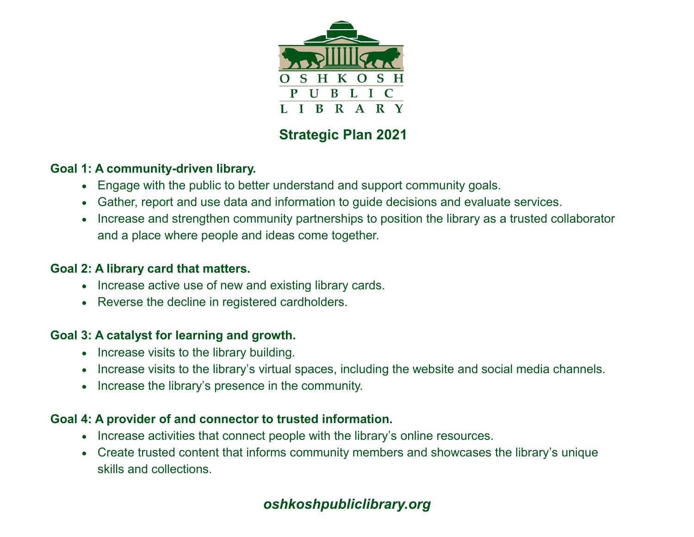

# **Strategic Plan 2021**

### **Goal 1: A community-driven library.**

- Engage with the public to better understand and support community goals.
- Gather, report and use data and information to guide decisions and evaluate services.
- Increase and strengthen community partnerships to position the library as a trusted collaborator and a place where people and ideas come together.

### **Goal 2: A library card that matters.**

- Increase active use of new and existing library cards.
- Reverse the decline in registered cardholders.

### **Goal 3: A catalyst for learning and growth.**

- Increase visits to the library building.
- Increase visits to the library's virtual spaces, including the website and social media channels.
- Increase the library's presence in the community.

#### **Goal 4: A provider of and connector to trusted information.**

- Increase activities that connect people with the library's online resources.
- Create trusted content that informs community members and showcases the library's unique skills and collections.

# *oshkoshpubliclibrary.org*